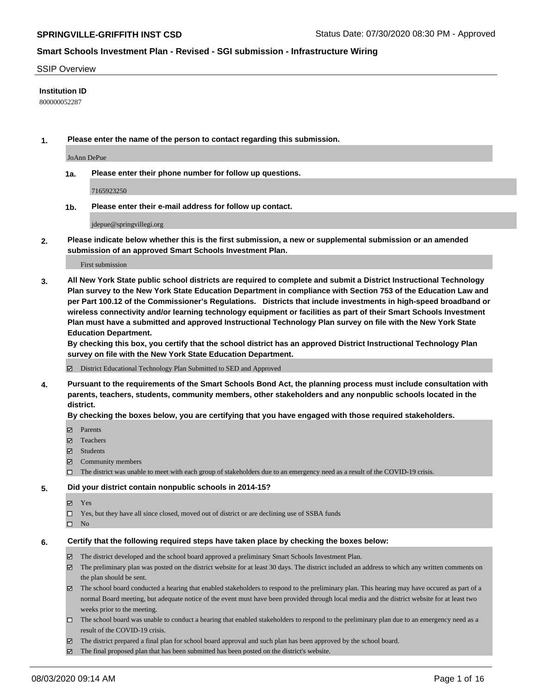#### SSIP Overview

#### **Institution ID**

800000052287

**1. Please enter the name of the person to contact regarding this submission.**

JoAnn DePue

**1a. Please enter their phone number for follow up questions.**

7165923250

**1b. Please enter their e-mail address for follow up contact.**

jdepue@springvillegi.org

**2. Please indicate below whether this is the first submission, a new or supplemental submission or an amended submission of an approved Smart Schools Investment Plan.**

#### First submission

**3. All New York State public school districts are required to complete and submit a District Instructional Technology Plan survey to the New York State Education Department in compliance with Section 753 of the Education Law and per Part 100.12 of the Commissioner's Regulations. Districts that include investments in high-speed broadband or wireless connectivity and/or learning technology equipment or facilities as part of their Smart Schools Investment Plan must have a submitted and approved Instructional Technology Plan survey on file with the New York State Education Department.** 

**By checking this box, you certify that the school district has an approved District Instructional Technology Plan survey on file with the New York State Education Department.**

District Educational Technology Plan Submitted to SED and Approved

**4. Pursuant to the requirements of the Smart Schools Bond Act, the planning process must include consultation with parents, teachers, students, community members, other stakeholders and any nonpublic schools located in the district.** 

#### **By checking the boxes below, you are certifying that you have engaged with those required stakeholders.**

- **□** Parents
- Teachers
- Students
- $\boxtimes$  Community members
- The district was unable to meet with each group of stakeholders due to an emergency need as a result of the COVID-19 crisis.

#### **5. Did your district contain nonpublic schools in 2014-15?**

- **冈** Yes
- Yes, but they have all since closed, moved out of district or are declining use of SSBA funds
- $\square$  No

#### **6. Certify that the following required steps have taken place by checking the boxes below:**

- The district developed and the school board approved a preliminary Smart Schools Investment Plan.
- $\boxtimes$  The preliminary plan was posted on the district website for at least 30 days. The district included an address to which any written comments on the plan should be sent.
- The school board conducted a hearing that enabled stakeholders to respond to the preliminary plan. This hearing may have occured as part of a normal Board meeting, but adequate notice of the event must have been provided through local media and the district website for at least two weeks prior to the meeting.
- The school board was unable to conduct a hearing that enabled stakeholders to respond to the preliminary plan due to an emergency need as a result of the COVID-19 crisis.
- The district prepared a final plan for school board approval and such plan has been approved by the school board.
- $\boxtimes$  The final proposed plan that has been submitted has been posted on the district's website.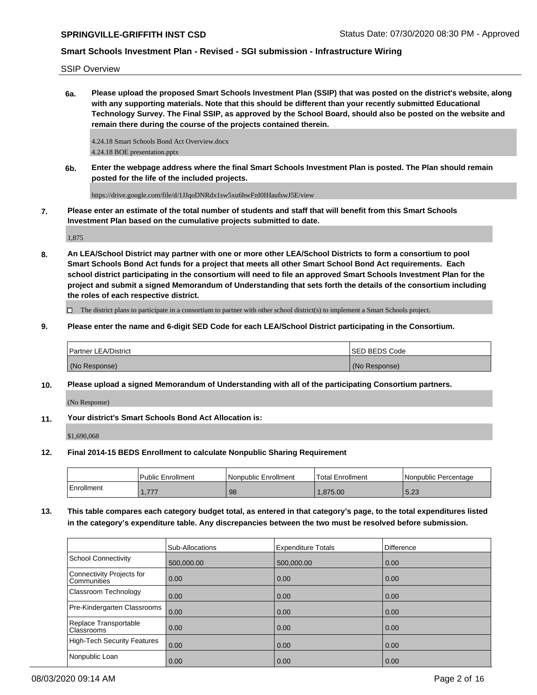SSIP Overview

**6a. Please upload the proposed Smart Schools Investment Plan (SSIP) that was posted on the district's website, along with any supporting materials. Note that this should be different than your recently submitted Educational Technology Survey. The Final SSIP, as approved by the School Board, should also be posted on the website and remain there during the course of the projects contained therein.**

4.24.18 Smart Schools Bond Act Overview.docx 4.24.18 BOE presentation.pptx

**6b. Enter the webpage address where the final Smart Schools Investment Plan is posted. The Plan should remain posted for the life of the included projects.**

https://drive.google.com/file/d/1JJqoDNRdx1sw5xu6hwFnI0IHaufswJ5E/view

**7. Please enter an estimate of the total number of students and staff that will benefit from this Smart Schools Investment Plan based on the cumulative projects submitted to date.**

1,875

**8. An LEA/School District may partner with one or more other LEA/School Districts to form a consortium to pool Smart Schools Bond Act funds for a project that meets all other Smart School Bond Act requirements. Each school district participating in the consortium will need to file an approved Smart Schools Investment Plan for the project and submit a signed Memorandum of Understanding that sets forth the details of the consortium including the roles of each respective district.**

 $\Box$  The district plans to participate in a consortium to partner with other school district(s) to implement a Smart Schools project.

**9. Please enter the name and 6-digit SED Code for each LEA/School District participating in the Consortium.**

| <b>Partner LEA/District</b> | <b>ISED BEDS Code</b> |
|-----------------------------|-----------------------|
| (No Response)               | (No Response)         |

**10. Please upload a signed Memorandum of Understanding with all of the participating Consortium partners.**

(No Response)

**11. Your district's Smart Schools Bond Act Allocation is:**

\$1,690,068

**12. Final 2014-15 BEDS Enrollment to calculate Nonpublic Sharing Requirement**

|            | <b>Public Enrollment</b> | Nonpublic Enrollment | 'Total Enrollment | l Nonpublic Percentage |
|------------|--------------------------|----------------------|-------------------|------------------------|
| Enrollment | 777<br>. <i>.</i>        | 98                   | .875.00           | 5.23                   |

**13. This table compares each category budget total, as entered in that category's page, to the total expenditures listed in the category's expenditure table. Any discrepancies between the two must be resolved before submission.**

|                                            | Sub-Allocations   | <b>Expenditure Totals</b> | <b>Difference</b> |
|--------------------------------------------|-------------------|---------------------------|-------------------|
| School Connectivity                        | 500,000.00        | 500,000.00                | 0.00              |
| Connectivity Projects for<br>l Communities | $\overline{0.00}$ | 0.00                      | 0.00              |
| <b>Classroom Technology</b>                | 0.00              | 0.00                      | 0.00              |
| Pre-Kindergarten Classrooms                | 0.00              | 0.00                      | 0.00              |
| Replace Transportable<br>Classrooms        | $\overline{0.00}$ | 0.00                      | 0.00              |
| High-Tech Security Features                | 0.00              | 0.00                      | 0.00              |
| Nonpublic Loan                             | 0.00              | 0.00                      | 0.00              |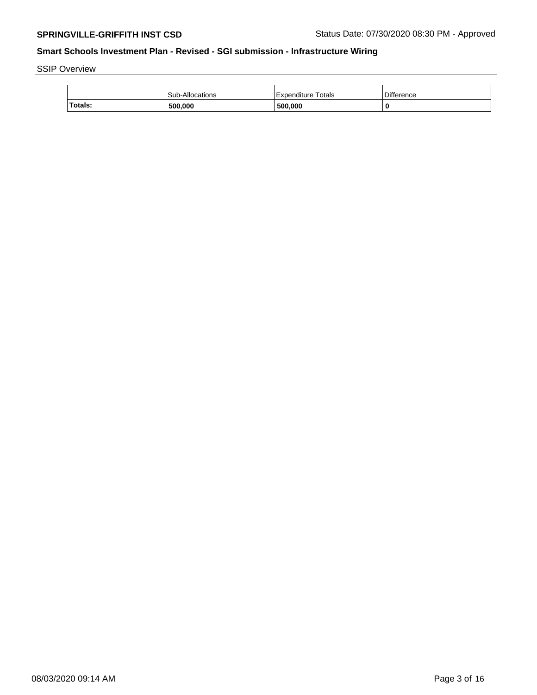SSIP Overview

|                | <b>Sub-Allocations</b> | Expenditure Totals | <b>Difference</b> |
|----------------|------------------------|--------------------|-------------------|
| <b>Totals:</b> | 500,000                | 500.000            |                   |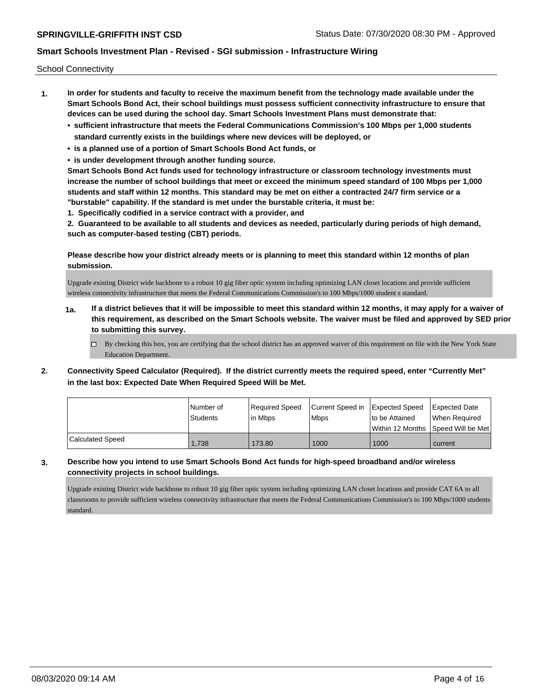School Connectivity

- **1. In order for students and faculty to receive the maximum benefit from the technology made available under the Smart Schools Bond Act, their school buildings must possess sufficient connectivity infrastructure to ensure that devices can be used during the school day. Smart Schools Investment Plans must demonstrate that:**
	- **• sufficient infrastructure that meets the Federal Communications Commission's 100 Mbps per 1,000 students standard currently exists in the buildings where new devices will be deployed, or**
	- **• is a planned use of a portion of Smart Schools Bond Act funds, or**
	- **• is under development through another funding source.**

**Smart Schools Bond Act funds used for technology infrastructure or classroom technology investments must increase the number of school buildings that meet or exceed the minimum speed standard of 100 Mbps per 1,000 students and staff within 12 months. This standard may be met on either a contracted 24/7 firm service or a "burstable" capability. If the standard is met under the burstable criteria, it must be:**

**1. Specifically codified in a service contract with a provider, and**

**2. Guaranteed to be available to all students and devices as needed, particularly during periods of high demand, such as computer-based testing (CBT) periods.**

**Please describe how your district already meets or is planning to meet this standard within 12 months of plan submission.**

Upgrade existing District wide backbone to a robust 10 gig fiber optic system including optimizing LAN closet locations and provide sufficient wireless connectivity infrastructure that meets the Federal Communications Commission's to 100 Mbps/1000 student s standard.

- **1a. If a district believes that it will be impossible to meet this standard within 12 months, it may apply for a waiver of this requirement, as described on the Smart Schools website. The waiver must be filed and approved by SED prior to submitting this survey.**
	- $\Box$  By checking this box, you are certifying that the school district has an approved waiver of this requirement on file with the New York State Education Department.
- **2. Connectivity Speed Calculator (Required). If the district currently meets the required speed, enter "Currently Met" in the last box: Expected Date When Required Speed Will be Met.**

|                  | l Number of<br><b>Students</b> | Required Speed<br>lin Mbps | Current Speed in Expected Speed<br><b>Mbps</b> | Ito be Attained | <b>Expected Date</b><br>When Required   |
|------------------|--------------------------------|----------------------------|------------------------------------------------|-----------------|-----------------------------------------|
|                  |                                |                            |                                                |                 | l Within 12 Months ISpeed Will be Met l |
| Calculated Speed | 1,738                          | 173.80                     | 1000                                           | 1000            | current                                 |

**3. Describe how you intend to use Smart Schools Bond Act funds for high-speed broadband and/or wireless connectivity projects in school buildings.**

Upgrade existing District wide backbone to robust 10 gig fiber optic system including optimizing LAN closet locations and provide CAT 6A to all classrooms to provide sufficient wireless connectivity infrastructure that meets the Federal Communications Commission's to 100 Mbps/1000 students standard.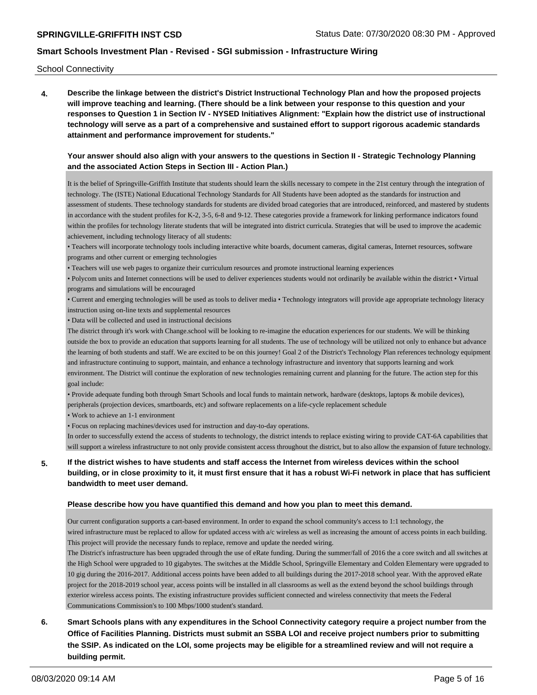School Connectivity

**4. Describe the linkage between the district's District Instructional Technology Plan and how the proposed projects will improve teaching and learning. (There should be a link between your response to this question and your responses to Question 1 in Section IV - NYSED Initiatives Alignment: "Explain how the district use of instructional technology will serve as a part of a comprehensive and sustained effort to support rigorous academic standards attainment and performance improvement for students."** 

#### **Your answer should also align with your answers to the questions in Section II - Strategic Technology Planning and the associated Action Steps in Section III - Action Plan.)**

It is the belief of Springville-Griffith Institute that students should learn the skills necessary to compete in the 21st century through the integration of technology. The (ISTE) National Educational Technology Standards for All Students have been adopted as the standards for instruction and assessment of students. These technology standards for students are divided broad categories that are introduced, reinforced, and mastered by students in accordance with the student profiles for K-2, 3-5, 6-8 and 9-12. These categories provide a framework for linking performance indicators found within the profiles for technology literate students that will be integrated into district curricula. Strategies that will be used to improve the academic achievement, including technology literacy of all students:

• Teachers will incorporate technology tools including interactive white boards, document cameras, digital cameras, Internet resources, software programs and other current or emerging technologies

• Teachers will use web pages to organize their curriculum resources and promote instructional learning experiences

• Polycom units and Internet connections will be used to deliver experiences students would not ordinarily be available within the district • Virtual programs and simulations will be encouraged

• Current and emerging technologies will be used as tools to deliver media • Technology integrators will provide age appropriate technology literacy instruction using on-line texts and supplemental resources

• Data will be collected and used in instructional decisions

The district through it's work with Change.school will be looking to re-imagine the education experiences for our students. We will be thinking outside the box to provide an education that supports learning for all students. The use of technology will be utilized not only to enhance but advance the learning of both students and staff. We are excited to be on this journey! Goal 2 of the District's Technology Plan references technology equipment and infrastructure continuing to support, maintain, and enhance a technology infrastructure and inventory that supports learning and work environment. The District will continue the exploration of new technologies remaining current and planning for the future. The action step for this goal include:

• Provide adequate funding both through Smart Schools and local funds to maintain network, hardware (desktops, laptops & mobile devices), peripherals (projection devices, smartboards, etc) and software replacements on a life-cycle replacement schedule

• Work to achieve an 1-1 environment

• Focus on replacing machines/devices used for instruction and day-to-day operations.

In order to successfully extend the access of students to technology, the district intends to replace existing wiring to provide CAT-6A capabilities that will support a wireless infrastructure to not only provide consistent access throughout the district, but to also allow the expansion of future technology.

## **5. If the district wishes to have students and staff access the Internet from wireless devices within the school building, or in close proximity to it, it must first ensure that it has a robust Wi-Fi network in place that has sufficient bandwidth to meet user demand.**

#### **Please describe how you have quantified this demand and how you plan to meet this demand.**

Our current configuration supports a cart-based environment. In order to expand the school community's access to 1:1 technology, the wired infrastructure must be replaced to allow for updated access with a/c wireless as well as increasing the amount of access points in each building. This project will provide the necessary funds to replace, remove and update the needed wiring.

The District's infrastructure has been upgraded through the use of eRate funding. During the summer/fall of 2016 the a core switch and all switches at the High School were upgraded to 10 gigabytes. The switches at the Middle School, Springville Elementary and Colden Elementary were upgraded to 10 gig during the 2016-2017. Additional access points have been added to all buildings during the 2017-2018 school year. With the approved eRate project for the 2018-2019 school year, access points will be installed in all classrooms as well as the extend beyond the school buildings through exterior wireless access points. The existing infrastructure provides sufficient connected and wireless connectivity that meets the Federal Communications Commission's to 100 Mbps/1000 student's standard.

**6. Smart Schools plans with any expenditures in the School Connectivity category require a project number from the Office of Facilities Planning. Districts must submit an SSBA LOI and receive project numbers prior to submitting the SSIP. As indicated on the LOI, some projects may be eligible for a streamlined review and will not require a building permit.**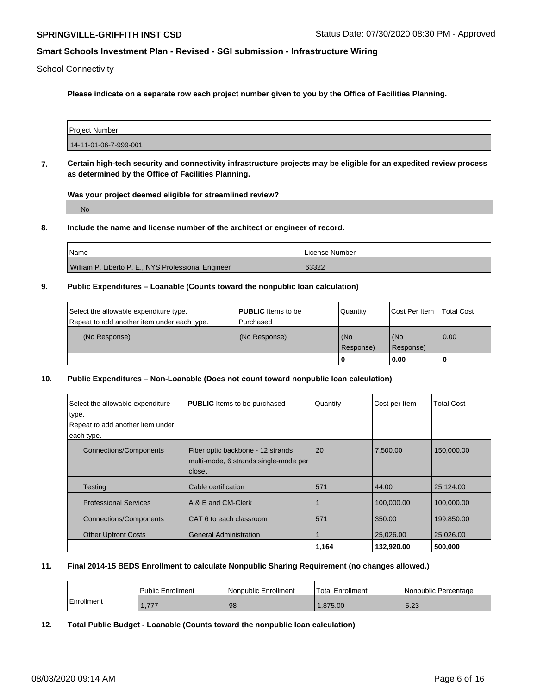School Connectivity

**Please indicate on a separate row each project number given to you by the Office of Facilities Planning.**

| <b>Project Number</b> |  |
|-----------------------|--|
| 14-11-01-06-7-999-001 |  |

**7. Certain high-tech security and connectivity infrastructure projects may be eligible for an expedited review process as determined by the Office of Facilities Planning.**

**Was your project deemed eligible for streamlined review?**

No

**8. Include the name and license number of the architect or engineer of record.**

| l Name                                              | License Number |
|-----------------------------------------------------|----------------|
| William P. Liberto P. E., NYS Professional Engineer | 63322          |

#### **9. Public Expenditures – Loanable (Counts toward the nonpublic loan calculation)**

| Select the allowable expenditure type.      | <b>PUBLIC</b> Items to be | l Quantitv       | Cost Per Item    | <b>Total Cost</b> |
|---------------------------------------------|---------------------------|------------------|------------------|-------------------|
| Repeat to add another item under each type. | l Purchased               |                  |                  |                   |
| (No Response)                               | (No Response)             | (No<br>Response) | (No<br>Response) | 0.00              |
|                                             |                           | 0                | 0.00             |                   |

#### **10. Public Expenditures – Non-Loanable (Does not count toward nonpublic loan calculation)**

| Select the allowable expenditure | <b>PUBLIC</b> Items to be purchased                                                  | Quantity | Cost per Item | <b>Total Cost</b> |
|----------------------------------|--------------------------------------------------------------------------------------|----------|---------------|-------------------|
| type.                            |                                                                                      |          |               |                   |
| Repeat to add another item under |                                                                                      |          |               |                   |
| each type.                       |                                                                                      |          |               |                   |
| <b>Connections/Components</b>    | Fiber optic backbone - 12 strands<br>multi-mode, 6 strands single-mode per<br>closet | 20       | 7,500.00      | 150,000.00        |
| <b>Testing</b>                   | Cable certification                                                                  | 571      | 44.00         | 25,124.00         |
| <b>Professional Services</b>     | A & E and CM-Clerk                                                                   |          | 100,000.00    | 100,000.00        |
| <b>Connections/Components</b>    | CAT 6 to each classroom                                                              | 571      | 350.00        | 199,850.00        |
| <b>Other Upfront Costs</b>       | <b>General Administration</b>                                                        |          | 25,026.00     | 25,026.00         |
|                                  |                                                                                      | 1,164    | 132,920.00    | 500,000           |

## **11. Final 2014-15 BEDS Enrollment to calculate Nonpublic Sharing Requirement (no changes allowed.)**

|            | Public Enrollment | l Nonpublic Enrollment | <b>Total Enrollment</b> | l Nonpublic Percentage |
|------------|-------------------|------------------------|-------------------------|------------------------|
| Enrollment | .                 | 98                     | .875.00                 | $F \Omega$<br>0.24     |

**12. Total Public Budget - Loanable (Counts toward the nonpublic loan calculation)**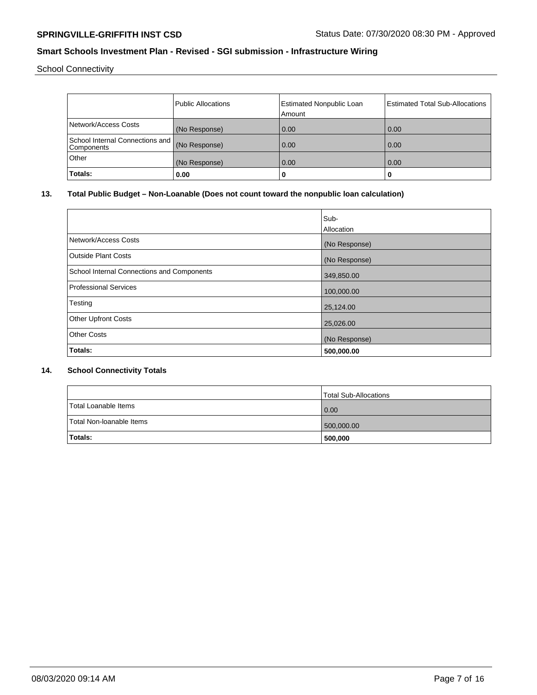School Connectivity

|                                               | <b>Public Allocations</b> | <b>Estimated Nonpublic Loan</b> | <b>Estimated Total Sub-Allocations</b> |
|-----------------------------------------------|---------------------------|---------------------------------|----------------------------------------|
|                                               |                           | Amount                          |                                        |
| Network/Access Costs                          | (No Response)             | 0.00                            | 0.00                                   |
| School Internal Connections and<br>Components | (No Response)             | 0.00                            | 0.00                                   |
| Other                                         | (No Response)             | 0.00                            | 0.00                                   |
| Totals:                                       | 0.00                      | 0                               | u                                      |

# **13. Total Public Budget – Non-Loanable (Does not count toward the nonpublic loan calculation)**

|                                            | Sub-          |
|--------------------------------------------|---------------|
|                                            | Allocation    |
| Network/Access Costs                       | (No Response) |
| <b>Outside Plant Costs</b>                 | (No Response) |
| School Internal Connections and Components | 349,850.00    |
| Professional Services                      | 100,000.00    |
| Testing                                    | 25,124.00     |
| <b>Other Upfront Costs</b>                 | 25,026.00     |
| <b>Other Costs</b>                         | (No Response) |
| Totals:                                    | 500,000.00    |

## **14. School Connectivity Totals**

|                            | Total Sub-Allocations |
|----------------------------|-----------------------|
| Total Loanable Items       | $\overline{0.00}$     |
| l Total Non-loanable Items | 500,000.00            |
| <b>Totals:</b>             | 500,000               |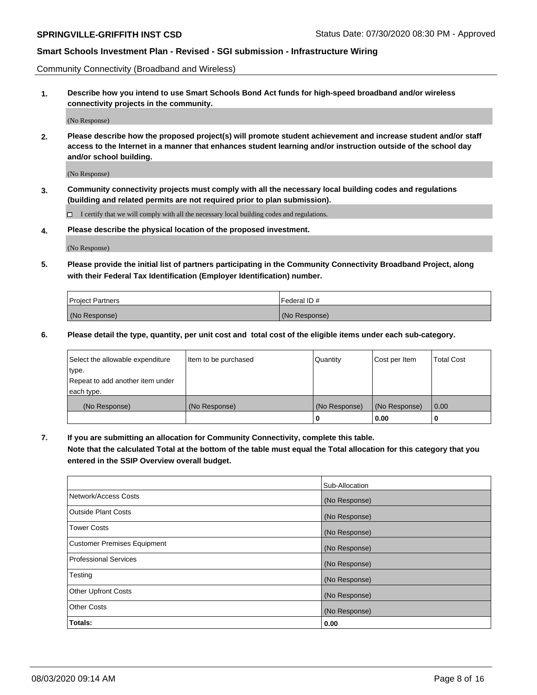Community Connectivity (Broadband and Wireless)

**1. Describe how you intend to use Smart Schools Bond Act funds for high-speed broadband and/or wireless connectivity projects in the community.**

(No Response)

**2. Please describe how the proposed project(s) will promote student achievement and increase student and/or staff access to the Internet in a manner that enhances student learning and/or instruction outside of the school day and/or school building.**

(No Response)

**3. Community connectivity projects must comply with all the necessary local building codes and regulations (building and related permits are not required prior to plan submission).**

 $\Box$  I certify that we will comply with all the necessary local building codes and regulations.

**4. Please describe the physical location of the proposed investment.**

(No Response)

**5. Please provide the initial list of partners participating in the Community Connectivity Broadband Project, along with their Federal Tax Identification (Employer Identification) number.**

| <b>Project Partners</b> | l Federal ID # |
|-------------------------|----------------|
| (No Response)           | (No Response)  |

**6. Please detail the type, quantity, per unit cost and total cost of the eligible items under each sub-category.**

| Select the allowable expenditure | Item to be purchased | Quantity      | Cost per Item | <b>Total Cost</b> |
|----------------------------------|----------------------|---------------|---------------|-------------------|
| type.                            |                      |               |               |                   |
| Repeat to add another item under |                      |               |               |                   |
| each type.                       |                      |               |               |                   |
| (No Response)                    | (No Response)        | (No Response) | (No Response) | 0.00              |
|                                  |                      | o             | 0.00          |                   |

**7. If you are submitting an allocation for Community Connectivity, complete this table.**

**Note that the calculated Total at the bottom of the table must equal the Total allocation for this category that you entered in the SSIP Overview overall budget.**

|                                    | Sub-Allocation |
|------------------------------------|----------------|
| Network/Access Costs               | (No Response)  |
| Outside Plant Costs                | (No Response)  |
| <b>Tower Costs</b>                 | (No Response)  |
| <b>Customer Premises Equipment</b> | (No Response)  |
| <b>Professional Services</b>       | (No Response)  |
| Testing                            | (No Response)  |
| <b>Other Upfront Costs</b>         | (No Response)  |
| <b>Other Costs</b>                 | (No Response)  |
| Totals:                            | 0.00           |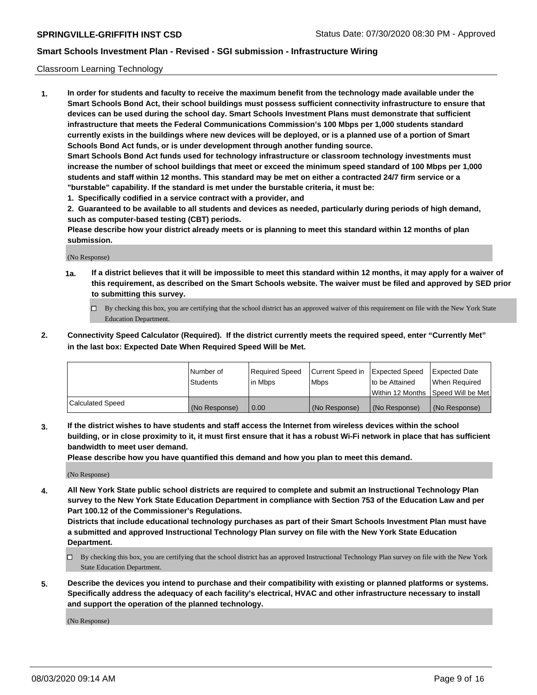#### Classroom Learning Technology

**1. In order for students and faculty to receive the maximum benefit from the technology made available under the Smart Schools Bond Act, their school buildings must possess sufficient connectivity infrastructure to ensure that devices can be used during the school day. Smart Schools Investment Plans must demonstrate that sufficient infrastructure that meets the Federal Communications Commission's 100 Mbps per 1,000 students standard currently exists in the buildings where new devices will be deployed, or is a planned use of a portion of Smart Schools Bond Act funds, or is under development through another funding source. Smart Schools Bond Act funds used for technology infrastructure or classroom technology investments must increase the number of school buildings that meet or exceed the minimum speed standard of 100 Mbps per 1,000 students and staff within 12 months. This standard may be met on either a contracted 24/7 firm service or a**

- **"burstable" capability. If the standard is met under the burstable criteria, it must be:**
- **1. Specifically codified in a service contract with a provider, and**

**2. Guaranteed to be available to all students and devices as needed, particularly during periods of high demand, such as computer-based testing (CBT) periods.**

**Please describe how your district already meets or is planning to meet this standard within 12 months of plan submission.**

(No Response)

- **1a. If a district believes that it will be impossible to meet this standard within 12 months, it may apply for a waiver of this requirement, as described on the Smart Schools website. The waiver must be filed and approved by SED prior to submitting this survey.**
	- By checking this box, you are certifying that the school district has an approved waiver of this requirement on file with the New York State Education Department.
- **2. Connectivity Speed Calculator (Required). If the district currently meets the required speed, enter "Currently Met" in the last box: Expected Date When Required Speed Will be Met.**

|                  | l Number of     | Required Speed | Current Speed in | <b>Expected Speed</b> | <b>Expected Date</b>                |
|------------------|-----------------|----------------|------------------|-----------------------|-------------------------------------|
|                  | <b>Students</b> | l in Mbps      | l Mbps           | to be Attained        | When Required                       |
|                  |                 |                |                  |                       | Within 12 Months  Speed Will be Met |
| Calculated Speed | (No Response)   | 0.00           | (No Response)    | l (No Response)       | (No Response)                       |

**3. If the district wishes to have students and staff access the Internet from wireless devices within the school building, or in close proximity to it, it must first ensure that it has a robust Wi-Fi network in place that has sufficient bandwidth to meet user demand.**

**Please describe how you have quantified this demand and how you plan to meet this demand.**

(No Response)

**4. All New York State public school districts are required to complete and submit an Instructional Technology Plan survey to the New York State Education Department in compliance with Section 753 of the Education Law and per Part 100.12 of the Commissioner's Regulations.**

**Districts that include educational technology purchases as part of their Smart Schools Investment Plan must have a submitted and approved Instructional Technology Plan survey on file with the New York State Education Department.**

- By checking this box, you are certifying that the school district has an approved Instructional Technology Plan survey on file with the New York State Education Department.
- **5. Describe the devices you intend to purchase and their compatibility with existing or planned platforms or systems. Specifically address the adequacy of each facility's electrical, HVAC and other infrastructure necessary to install and support the operation of the planned technology.**

(No Response)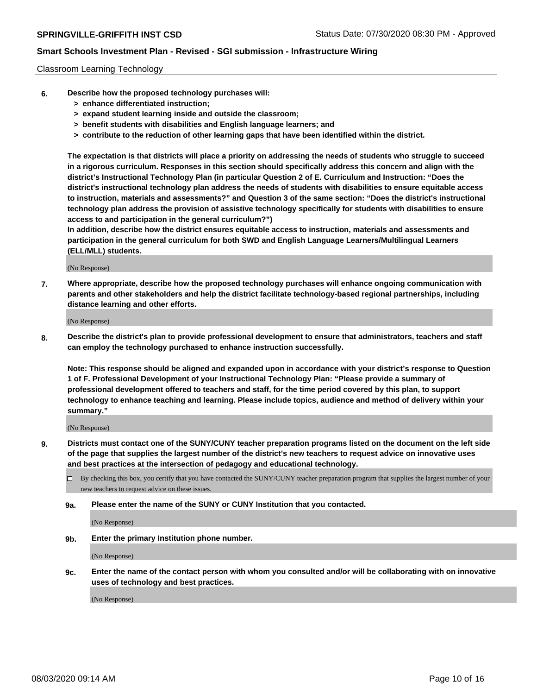#### Classroom Learning Technology

- **6. Describe how the proposed technology purchases will:**
	- **> enhance differentiated instruction;**
	- **> expand student learning inside and outside the classroom;**
	- **> benefit students with disabilities and English language learners; and**
	- **> contribute to the reduction of other learning gaps that have been identified within the district.**

**The expectation is that districts will place a priority on addressing the needs of students who struggle to succeed in a rigorous curriculum. Responses in this section should specifically address this concern and align with the district's Instructional Technology Plan (in particular Question 2 of E. Curriculum and Instruction: "Does the district's instructional technology plan address the needs of students with disabilities to ensure equitable access to instruction, materials and assessments?" and Question 3 of the same section: "Does the district's instructional technology plan address the provision of assistive technology specifically for students with disabilities to ensure access to and participation in the general curriculum?")**

**In addition, describe how the district ensures equitable access to instruction, materials and assessments and participation in the general curriculum for both SWD and English Language Learners/Multilingual Learners (ELL/MLL) students.**

(No Response)

**7. Where appropriate, describe how the proposed technology purchases will enhance ongoing communication with parents and other stakeholders and help the district facilitate technology-based regional partnerships, including distance learning and other efforts.**

(No Response)

**8. Describe the district's plan to provide professional development to ensure that administrators, teachers and staff can employ the technology purchased to enhance instruction successfully.**

**Note: This response should be aligned and expanded upon in accordance with your district's response to Question 1 of F. Professional Development of your Instructional Technology Plan: "Please provide a summary of professional development offered to teachers and staff, for the time period covered by this plan, to support technology to enhance teaching and learning. Please include topics, audience and method of delivery within your summary."**

(No Response)

- **9. Districts must contact one of the SUNY/CUNY teacher preparation programs listed on the document on the left side of the page that supplies the largest number of the district's new teachers to request advice on innovative uses and best practices at the intersection of pedagogy and educational technology.**
	- By checking this box, you certify that you have contacted the SUNY/CUNY teacher preparation program that supplies the largest number of your new teachers to request advice on these issues.
	- **9a. Please enter the name of the SUNY or CUNY Institution that you contacted.**

(No Response)

**9b. Enter the primary Institution phone number.**

(No Response)

**9c. Enter the name of the contact person with whom you consulted and/or will be collaborating with on innovative uses of technology and best practices.**

(No Response)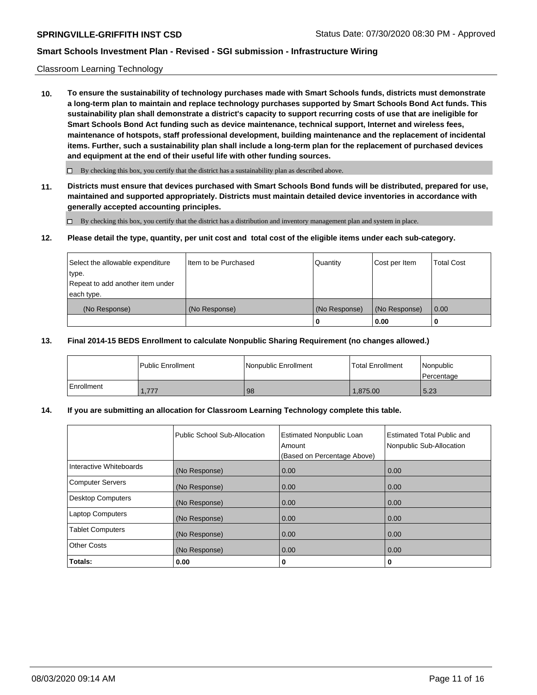#### Classroom Learning Technology

**10. To ensure the sustainability of technology purchases made with Smart Schools funds, districts must demonstrate a long-term plan to maintain and replace technology purchases supported by Smart Schools Bond Act funds. This sustainability plan shall demonstrate a district's capacity to support recurring costs of use that are ineligible for Smart Schools Bond Act funding such as device maintenance, technical support, Internet and wireless fees, maintenance of hotspots, staff professional development, building maintenance and the replacement of incidental items. Further, such a sustainability plan shall include a long-term plan for the replacement of purchased devices and equipment at the end of their useful life with other funding sources.**

 $\Box$  By checking this box, you certify that the district has a sustainability plan as described above.

**11. Districts must ensure that devices purchased with Smart Schools Bond funds will be distributed, prepared for use, maintained and supported appropriately. Districts must maintain detailed device inventories in accordance with generally accepted accounting principles.**

By checking this box, you certify that the district has a distribution and inventory management plan and system in place.

#### **12. Please detail the type, quantity, per unit cost and total cost of the eligible items under each sub-category.**

| Select the allowable expenditure<br>type.      | Item to be Purchased | Quantity      | Cost per Item | <b>Total Cost</b> |
|------------------------------------------------|----------------------|---------------|---------------|-------------------|
| Repeat to add another item under<br>each type. |                      |               |               |                   |
| (No Response)                                  | (No Response)        | (No Response) | (No Response) | 0.00              |
|                                                |                      | 0             | 0.00          |                   |

#### **13. Final 2014-15 BEDS Enrollment to calculate Nonpublic Sharing Requirement (no changes allowed.)**

|            | l Public Enrollment | Nonpublic Enrollment | <b>Total Enrollment</b> | Nonpublic<br>l Percentage |
|------------|---------------------|----------------------|-------------------------|---------------------------|
| Enrollment | 1.777               | 98                   | 1.875.00                | 15.23                     |

### **14. If you are submitting an allocation for Classroom Learning Technology complete this table.**

|                         | Public School Sub-Allocation | <b>Estimated Nonpublic Loan</b><br>Amount<br>(Based on Percentage Above) | Estimated Total Public and<br>Nonpublic Sub-Allocation |
|-------------------------|------------------------------|--------------------------------------------------------------------------|--------------------------------------------------------|
| Interactive Whiteboards | (No Response)                | 0.00                                                                     | 0.00                                                   |
| Computer Servers        | (No Response)                | 0.00                                                                     | 0.00                                                   |
| Desktop Computers       | (No Response)                | 0.00                                                                     | 0.00                                                   |
| <b>Laptop Computers</b> | (No Response)                | 0.00                                                                     | 0.00                                                   |
| <b>Tablet Computers</b> | (No Response)                | 0.00                                                                     | 0.00                                                   |
| Other Costs             | (No Response)                | 0.00                                                                     | 0.00                                                   |
| Totals:                 | 0.00                         | 0                                                                        | 0                                                      |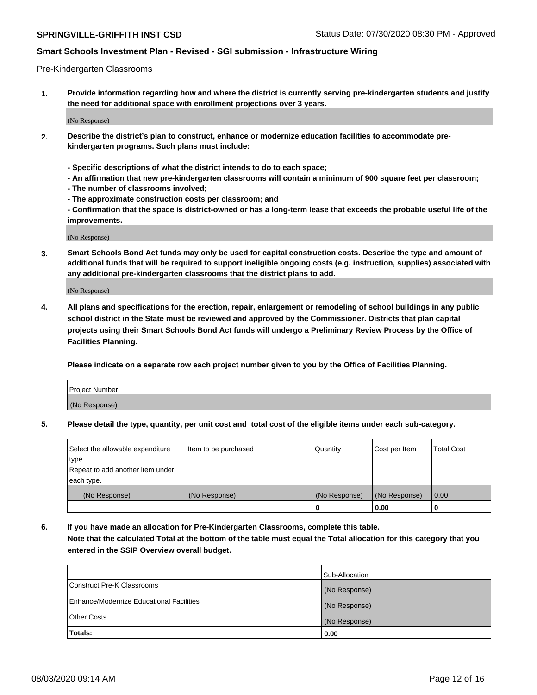#### Pre-Kindergarten Classrooms

**1. Provide information regarding how and where the district is currently serving pre-kindergarten students and justify the need for additional space with enrollment projections over 3 years.**

(No Response)

- **2. Describe the district's plan to construct, enhance or modernize education facilities to accommodate prekindergarten programs. Such plans must include:**
	- **Specific descriptions of what the district intends to do to each space;**
	- **An affirmation that new pre-kindergarten classrooms will contain a minimum of 900 square feet per classroom;**
	- **The number of classrooms involved;**
	- **The approximate construction costs per classroom; and**
	- **Confirmation that the space is district-owned or has a long-term lease that exceeds the probable useful life of the improvements.**

(No Response)

**3. Smart Schools Bond Act funds may only be used for capital construction costs. Describe the type and amount of additional funds that will be required to support ineligible ongoing costs (e.g. instruction, supplies) associated with any additional pre-kindergarten classrooms that the district plans to add.**

(No Response)

**4. All plans and specifications for the erection, repair, enlargement or remodeling of school buildings in any public school district in the State must be reviewed and approved by the Commissioner. Districts that plan capital projects using their Smart Schools Bond Act funds will undergo a Preliminary Review Process by the Office of Facilities Planning.**

**Please indicate on a separate row each project number given to you by the Office of Facilities Planning.**

| Project Number |  |
|----------------|--|
| (No Response)  |  |
|                |  |

**5. Please detail the type, quantity, per unit cost and total cost of the eligible items under each sub-category.**

| Select the allowable expenditure | Item to be purchased | Quantity      | Cost per Item | <b>Total Cost</b> |
|----------------------------------|----------------------|---------------|---------------|-------------------|
| type.                            |                      |               |               |                   |
| Repeat to add another item under |                      |               |               |                   |
| each type.                       |                      |               |               |                   |
| (No Response)                    | (No Response)        | (No Response) | (No Response) | 0.00              |
|                                  |                      | U             | 0.00          |                   |

**6. If you have made an allocation for Pre-Kindergarten Classrooms, complete this table. Note that the calculated Total at the bottom of the table must equal the Total allocation for this category that you entered in the SSIP Overview overall budget.**

|                                          | Sub-Allocation |
|------------------------------------------|----------------|
| Construct Pre-K Classrooms               | (No Response)  |
| Enhance/Modernize Educational Facilities | (No Response)  |
| <b>Other Costs</b>                       | (No Response)  |
| Totals:                                  | 0.00           |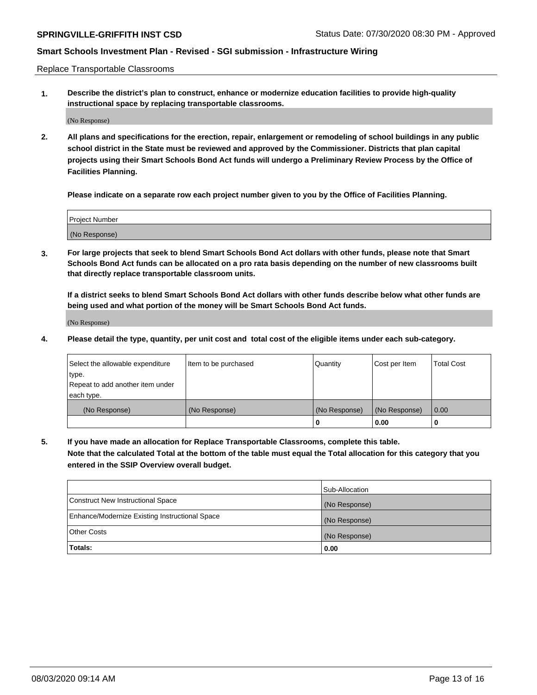Replace Transportable Classrooms

**1. Describe the district's plan to construct, enhance or modernize education facilities to provide high-quality instructional space by replacing transportable classrooms.**

(No Response)

**2. All plans and specifications for the erection, repair, enlargement or remodeling of school buildings in any public school district in the State must be reviewed and approved by the Commissioner. Districts that plan capital projects using their Smart Schools Bond Act funds will undergo a Preliminary Review Process by the Office of Facilities Planning.**

**Please indicate on a separate row each project number given to you by the Office of Facilities Planning.**

| Project Number |  |
|----------------|--|
|                |  |
| (No Response)  |  |

**3. For large projects that seek to blend Smart Schools Bond Act dollars with other funds, please note that Smart Schools Bond Act funds can be allocated on a pro rata basis depending on the number of new classrooms built that directly replace transportable classroom units.**

**If a district seeks to blend Smart Schools Bond Act dollars with other funds describe below what other funds are being used and what portion of the money will be Smart Schools Bond Act funds.**

(No Response)

**4. Please detail the type, quantity, per unit cost and total cost of the eligible items under each sub-category.**

| Select the allowable expenditure | Item to be purchased | Quantity      | Cost per Item | Total Cost |
|----------------------------------|----------------------|---------------|---------------|------------|
| ∣type.                           |                      |               |               |            |
| Repeat to add another item under |                      |               |               |            |
| each type.                       |                      |               |               |            |
| (No Response)                    | (No Response)        | (No Response) | (No Response) | 0.00       |
|                                  |                      | u             | 0.00          |            |

**5. If you have made an allocation for Replace Transportable Classrooms, complete this table. Note that the calculated Total at the bottom of the table must equal the Total allocation for this category that you entered in the SSIP Overview overall budget.**

|                                                | Sub-Allocation |
|------------------------------------------------|----------------|
| Construct New Instructional Space              | (No Response)  |
| Enhance/Modernize Existing Instructional Space | (No Response)  |
| Other Costs                                    | (No Response)  |
| Totals:                                        | 0.00           |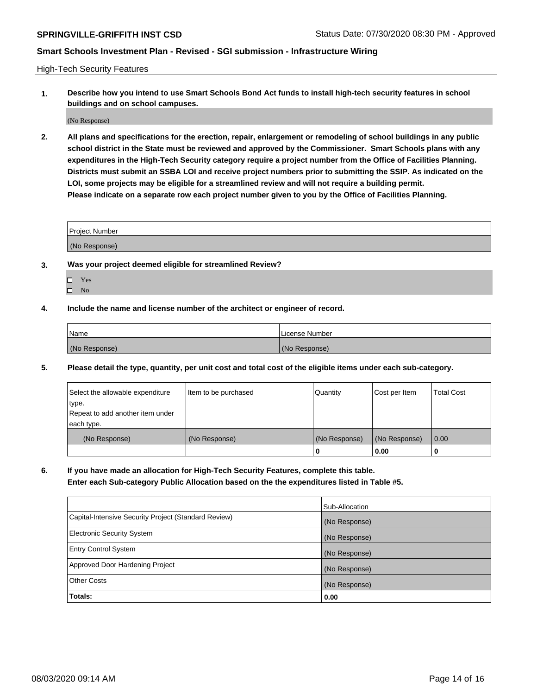High-Tech Security Features

**1. Describe how you intend to use Smart Schools Bond Act funds to install high-tech security features in school buildings and on school campuses.**

(No Response)

**2. All plans and specifications for the erection, repair, enlargement or remodeling of school buildings in any public school district in the State must be reviewed and approved by the Commissioner. Smart Schools plans with any expenditures in the High-Tech Security category require a project number from the Office of Facilities Planning. Districts must submit an SSBA LOI and receive project numbers prior to submitting the SSIP. As indicated on the LOI, some projects may be eligible for a streamlined review and will not require a building permit. Please indicate on a separate row each project number given to you by the Office of Facilities Planning.**

| <b>Project Number</b> |  |
|-----------------------|--|
|                       |  |
| (No Response)         |  |

- **3. Was your project deemed eligible for streamlined Review?**
	- Yes
	- $\hfill \Box$  No
- **4. Include the name and license number of the architect or engineer of record.**

| <b>Name</b>   | License Number |
|---------------|----------------|
| (No Response) | (No Response)  |

**5. Please detail the type, quantity, per unit cost and total cost of the eligible items under each sub-category.**

| Select the allowable expenditure | Item to be purchased | Quantity      | Cost per Item | <b>Total Cost</b> |
|----------------------------------|----------------------|---------------|---------------|-------------------|
| 'type.                           |                      |               |               |                   |
| Repeat to add another item under |                      |               |               |                   |
| each type.                       |                      |               |               |                   |
| (No Response)                    | (No Response)        | (No Response) | (No Response) | 0.00              |
|                                  |                      | U             | 0.00          |                   |

**6. If you have made an allocation for High-Tech Security Features, complete this table.**

**Enter each Sub-category Public Allocation based on the the expenditures listed in Table #5.**

|                                                      | Sub-Allocation |
|------------------------------------------------------|----------------|
| Capital-Intensive Security Project (Standard Review) | (No Response)  |
| <b>Electronic Security System</b>                    | (No Response)  |
| <b>Entry Control System</b>                          | (No Response)  |
| Approved Door Hardening Project                      | (No Response)  |
| <b>Other Costs</b>                                   | (No Response)  |
| Totals:                                              | 0.00           |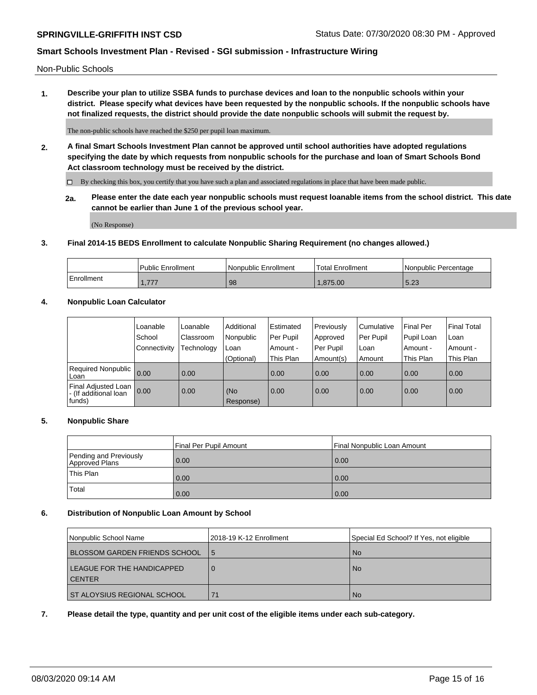Non-Public Schools

**1. Describe your plan to utilize SSBA funds to purchase devices and loan to the nonpublic schools within your district. Please specify what devices have been requested by the nonpublic schools. If the nonpublic schools have not finalized requests, the district should provide the date nonpublic schools will submit the request by.**

The non-public schools have reached the \$250 per pupil loan maximum.

**2. A final Smart Schools Investment Plan cannot be approved until school authorities have adopted regulations specifying the date by which requests from nonpublic schools for the purchase and loan of Smart Schools Bond Act classroom technology must be received by the district.**

By checking this box, you certify that you have such a plan and associated regulations in place that have been made public.

**2a. Please enter the date each year nonpublic schools must request loanable items from the school district. This date cannot be earlier than June 1 of the previous school year.**

(No Response)

#### **3. Final 2014-15 BEDS Enrollment to calculate Nonpublic Sharing Requirement (no changes allowed.)**

|            | Public Enrollment | Nonpublic Enrollment | Total Enrollment | l Nonpublic Percentage |
|------------|-------------------|----------------------|------------------|------------------------|
| Enrollment | 777               | 98                   | .875.00          | $\Gamma$ 00<br>ن ے.ر   |

## **4. Nonpublic Loan Calculator**

|                                                        | Loanable     | Loanable   | Additional       | Estimated   | Previously | Cumulative | Final Per  | <b>Final Total</b> |
|--------------------------------------------------------|--------------|------------|------------------|-------------|------------|------------|------------|--------------------|
|                                                        | School       | Classroom  | Nonpublic        | l Per Pupil | Approved   | Per Pupil  | Pupil Loan | Loan               |
|                                                        | Connectivity | Technology | Loan             | Amount -    | Per Pupil  | Loan       | Amount -   | Amount -           |
|                                                        |              |            | (Optional)       | This Plan   | Amount(s)  | Amount     | This Plan  | This Plan          |
| Required Nonpublic<br>Loan                             | 0.00         | 0.00       |                  | 0.00        | 0.00       | 0.00       | 0.00       | 0.00               |
| Final Adjusted Loan<br>- (If additional loan<br>funds) | 0.00         | 0.00       | (No<br>Response) | 0.00        | 0.00       | 0.00       | 0.00       | 0.00               |

### **5. Nonpublic Share**

| Final Per Pupil Amount                   |      | Final Nonpublic Loan Amount |
|------------------------------------------|------|-----------------------------|
| Pending and Previously<br>Approved Plans | 0.00 | 0.00                        |
| <b>This Plan</b>                         | 0.00 | 0.00                        |
| 'Total                                   | 0.00 | 0.00                        |

#### **6. Distribution of Nonpublic Loan Amount by School**

| Nonpublic School Name                       | 2018-19 K-12 Enrollment | Special Ed School? If Yes, not eligible |
|---------------------------------------------|-------------------------|-----------------------------------------|
| <b>BLOSSOM GARDEN FRIENDS SCHOOL</b>        | 15                      | <b>No</b>                               |
| LEAGUE FOR THE HANDICAPPED<br><b>CENTER</b> | 0                       | <b>No</b>                               |
| ST ALOYSIUS REGIONAL SCHOOL                 | 71                      | No.                                     |

**7. Please detail the type, quantity and per unit cost of the eligible items under each sub-category.**